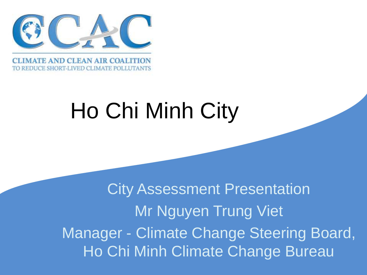

**EDUCE SHORT-LIVED CLIMATE POLLUTANTS** 

# Ho Chi Minh City

 $\overline{\phantom{0}}$ City Assessment Presentation Mr Nguyen Trung Viet Manager - Climate Change Steering Board, Ho Chi Minh Climate Change Bureau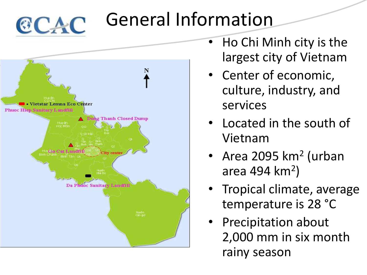

### General Information



- Ho Chi Minh city is the largest city of Vietnam
- Center of economic, culture, industry, and services
- Located in the south of Vietnam
- Area 2095 km<sup>2</sup> (urban area 494 km<sup>2</sup>)
- Tropical climate, average temperature is 28 °C
- Precipitation about 2,000 mm in six month rainy season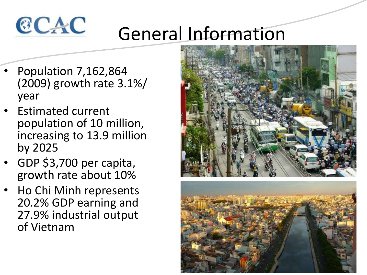

# General Information

- Population 7,162,864 (2009) growth rate 3.1%/ year
- Estimated current population of 10 million, increasing to 13.9 million by 2025
- GDP \$3,700 per capita, growth rate about 10%
- Ho Chi Minh represents 20.2% GDP earning and 27.9% industrial output of Vietnam

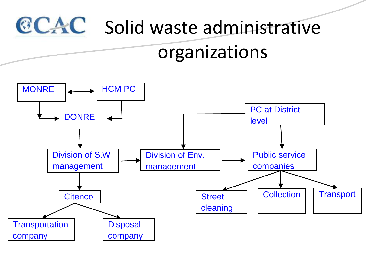

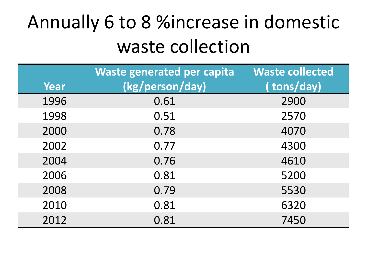# Annually 6 to 8 %increase in domestic waste collection

|      | Waste generated per capita | <b>Waste collected</b> |
|------|----------------------------|------------------------|
| Year | (kg/person/day)            | (tons/day)             |
| 1996 | 0.61                       | 2900                   |
| 1998 | 0.51                       | 2570                   |
| 2000 | 0.78                       | 4070                   |
| 2002 | 0.77                       | 4300                   |
| 2004 | 0.76                       | 4610                   |
| 2006 | 0.81                       | 5200                   |
| 2008 | 0.79                       | 5530                   |
| 2010 | 0.81                       | 6320                   |
| 2012 | 0.81                       | 7450                   |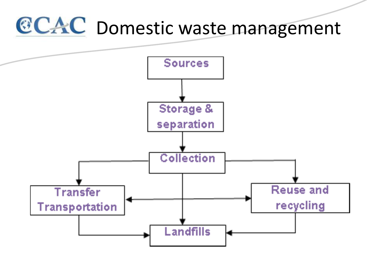# **CCAC** Domestic waste management

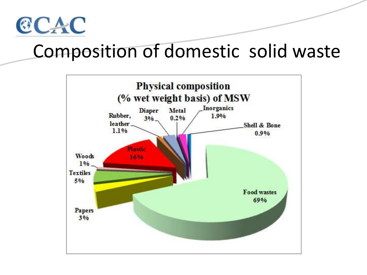

### Composition of domestic solid waste

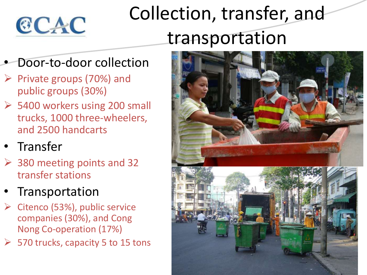

## Collection, transfer, and transportation

#### • Door-to-door collection

- $\triangleright$  Private groups (70%) and public groups (30%)
- 5400 workers using 200 small trucks, 1000 three-wheelers, and 2500 handcarts
- **Transfer**
- $\geq$  380 meeting points and 32 transfer stations
- **Transportation**
- $\triangleright$  Citenco (53%), public service companies (30%), and Cong Nong Co-operation (17%)
- $\geq$  570 trucks, capacity 5 to 15 tons

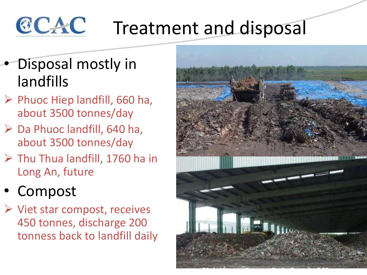#### CCAC Treatment and disposal

- Disposal mostly in landfills
- $\triangleright$  Phuoc Hiep landfill, 660 ha, about 3500 tonnes/day
- Da Phuoc landfill, 640 ha, about 3500 tonnes/day
- $\triangleright$  Thu Thua landfill, 1760 ha in Long An, future
- **Compost**
- $\triangleright$  Viet star compost, receives 450 tonnes, discharge 200 tonness back to landfill daily

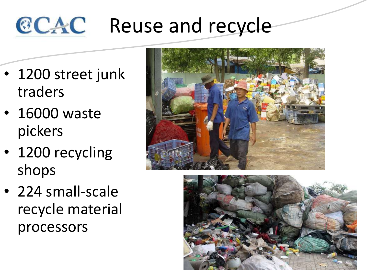#### CCAC Reuse and recycle

- 1200 street junk traders
- 16000 waste pickers
- 1200 recycling shops
- 
- 224 small-scale recycle material processors

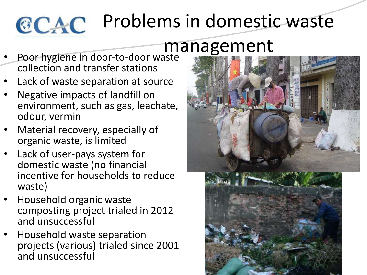

# Problems in domestic waste

### management

- Poor hygiene in door-to-door waste collection and transfer stations
- Lack of waste separation at source
- Negative impacts of landfill on environment, such as gas, leachate, odour, vermin
- Material recovery, especially of organic waste, is limited
- Lack of user-pays system for domestic waste (no financial incentive for households to reduce waste)
- Household organic waste composting project trialed in 2012 and unsuccessful
- Household waste separation projects (various) trialed since 2001 and unsuccessful

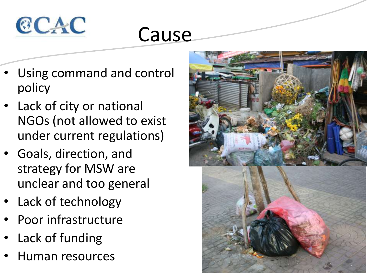

### Cause

- Using command and control policy
- Lack of city or national NGOs (not allowed to exist under current regulations)
- Goals, direction, and strategy for MSW are unclear and too general
- Lack of technology
- Poor infrastructure
- Lack of funding
- Human resources

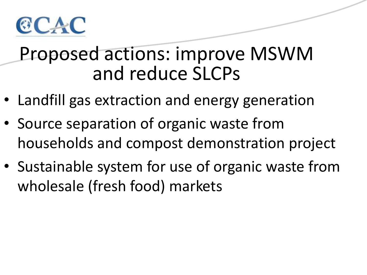

### Proposed actions: improve MSWM and reduce SLCPs

- Landfill gas extraction and energy generation
- Source separation of organic waste from households and compost demonstration project
- Sustainable system for use of organic waste from wholesale (fresh food) markets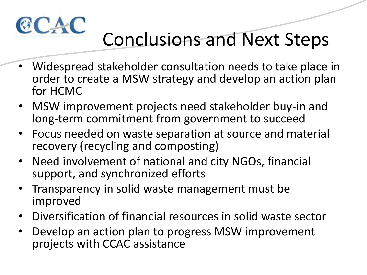

# Conclusions and Next Steps

- Widespread stakeholder consultation needs to take place in order to create a MSW strategy and develop an action plan for HCMC
- MSW improvement projects need stakeholder buy-in and long-term commitment from government to succeed
- Focus needed on waste separation at source and material recovery (recycling and composting)
- Need involvement of national and city NGOs, financial support, and synchronized efforts
- Transparency in solid waste management must be improved
- Diversification of financial resources in solid waste sector
- Develop an action plan to progress MSW improvement projects with CCAC assistance